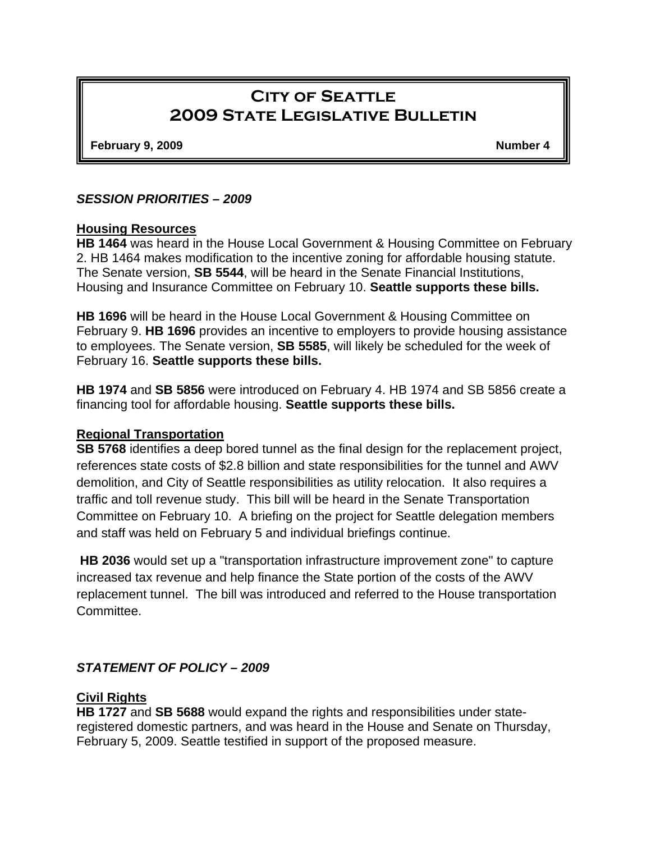# **City of Seattle 2009 State Legislative Bulletin**

**February 9, 2009** Number 4

#### *SESSION PRIORITIES – 2009*

#### **Housing Resources**

**HB 1464** was heard in the House Local Government & Housing Committee on February 2. HB 1464 makes modification to the incentive zoning for affordable housing statute. The Senate version, **SB 5544**, will be heard in the Senate Financial Institutions, Housing and Insurance Committee on February 10. **Seattle supports these bills.**

**HB 1696** will be heard in the House Local Government & Housing Committee on February 9. **HB 1696** provides an incentive to employers to provide housing assistance to employees. The Senate version, **SB 5585**, will likely be scheduled for the week of February 16. **Seattle supports these bills.** 

**HB 1974** and **SB 5856** were introduced on February 4. HB 1974 and SB 5856 create a financing tool for affordable housing. **Seattle supports these bills.** 

#### **Regional Transportation**

**SB 5768** identifies a deep bored tunnel as the final design for the replacement project, references state costs of \$2.8 billion and state responsibilities for the tunnel and AWV demolition, and City of Seattle responsibilities as utility relocation. It also requires a traffic and toll revenue study. This bill will be heard in the Senate Transportation Committee on February 10. A briefing on the project for Seattle delegation members and staff was held on February 5 and individual briefings continue.

**HB 2036** would set up a "transportation infrastructure improvement zone" to capture increased tax revenue and help finance the State portion of the costs of the AWV replacement tunnel. The bill was introduced and referred to the House transportation Committee.

#### *STATEMENT OF POLICY – 2009*

#### **Civil Rights**

**HB 1727** and **SB 5688** would expand the rights and responsibilities under stateregistered domestic partners, and was heard in the House and Senate on Thursday, February 5, 2009. Seattle testified in support of the proposed measure.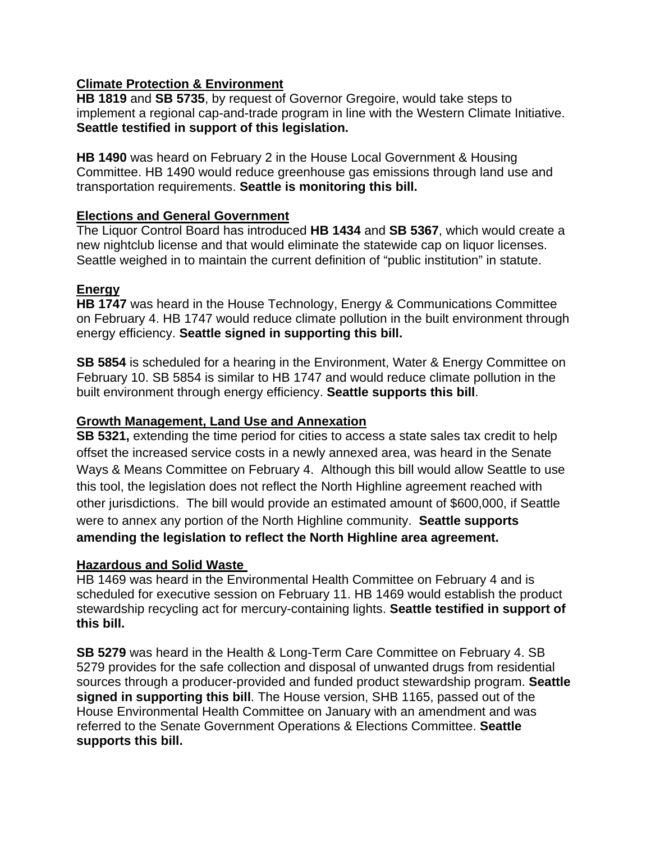# **Climate Protection & Environment**

**HB 1819** and **SB 5735**, by request of Governor Gregoire, would take steps to implement a regional cap-and-trade program in line with the Western Climate Initiative. **Seattle testified in support of this legislation.** 

**HB 1490** was heard on February 2 in the House Local Government & Housing Committee. HB 1490 would reduce greenhouse gas emissions through land use and transportation requirements. **Seattle is monitoring this bill.**

### **Elections and General Government**

The Liquor Control Board has introduced **HB 1434** and **SB 5367**, which would create a new nightclub license and that would eliminate the statewide cap on liquor licenses. Seattle weighed in to maintain the current definition of "public institution" in statute.

# **Energy**

**HB 1747** was heard in the House Technology, Energy & Communications Committee on February 4. HB 1747 would reduce climate pollution in the built environment through energy efficiency. **Seattle signed in supporting this bill.** 

**SB 5854** is scheduled for a hearing in the Environment, Water & Energy Committee on February 10. SB 5854 is similar to HB 1747 and would reduce climate pollution in the built environment through energy efficiency. **Seattle supports this bill**.

## **Growth Management, Land Use and Annexation**

**SB 5321,** extending the time period for cities to access a state sales tax credit to help offset the increased service costs in a newly annexed area, was heard in the Senate Ways & Means Committee on February 4. Although this bill would allow Seattle to use this tool, the legislation does not reflect the North Highline agreement reached with other jurisdictions. The bill would provide an estimated amount of \$600,000, if Seattle were to annex any portion of the North Highline community. **Seattle supports amending the legislation to reflect the North Highline area agreement.** 

#### **Hazardous and Solid Waste**

HB 1469 was heard in the Environmental Health Committee on February 4 and is scheduled for executive session on February 11. HB 1469 would establish the product stewardship recycling act for mercury-containing lights. **Seattle testified in support of this bill.**

**SB 5279** was heard in the Health & Long-Term Care Committee on February 4. SB 5279 provides for the safe collection and disposal of unwanted drugs from residential sources through a producer-provided and funded product stewardship program. **Seattle signed in supporting this bill**. The House version, SHB 1165, passed out of the House Environmental Health Committee on January with an amendment and was referred to the Senate Government Operations & Elections Committee. **Seattle supports this bill.**